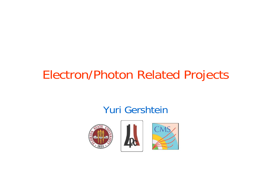### Electron/Photon Related Projects

#### Yuri Gershtein





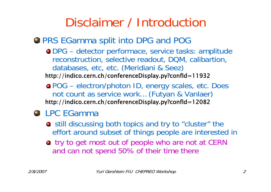## Disclaimer / Introduction

#### **O PRS EGamma split into DPG and POG**

- DPG detector performace, service tasks: amplitude reconstruction, selective readout, DQM, calibartion, databases, etc, etc. (Meridiani & Seez) http://indico.cern.ch/conferenceDisplay.py?confId=11932
- POG electron/photon ID, energy scales, etc. Does not count as service work… (Futyan & Vanlaer) http://indico.cern.ch/conferenceDisplay.py?confId=12082

#### **LPC EGamma**

- **o** still discussing both topics and try to "cluster" the effort around subset of things people are interested in
- **o** try to get most out of people who are not at CERN and can not spend 50% of their time there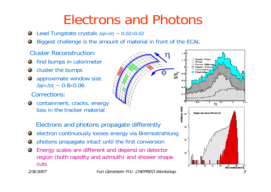## Electrons and Photons

- Lead Tungstate crystals Δϕ×Δη ~ 0.02 ×0.02  $\bullet$
- Biggest challenge is the amount of material in front of the ECAL  $\bullet$

Cluster Reconstruction:

- find bumps in calorimeter  $\bullet$
- cluster the bumps  $\blacksquare$
- approximate window size  $\Delta$ φ $\times\Delta$ η ~ 0.8 $\times$ 0.06
	- Corrections:
- **Q** containment, cracks, energy loss in the tracker material

Electrons and photons propagate differently

- electron continuously looses energy via Bremsstrahlung  $\bullet$
- photons propagate intact until the first conversion  $\bullet$
- Energy scales are different and depend on detector  $\bullet$ region (both rapidity and azimuth) and shower shape cuts

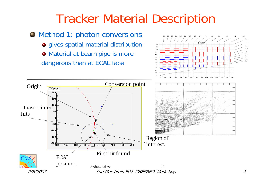### Tracker Material Description

 $1.7$ 

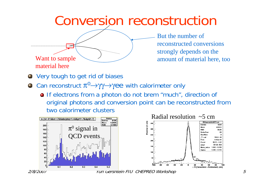## Conversion reconstruction



But the number of reconstructed conversions strongly depends on the amount of material here, too

- **O** Very tough to get rid of biases
- Can reconstruct  $\pi^0 \!\!\rightarrow\!\! \gamma \! \gamma \!\!\rightarrow\!\! \gamma$ ee with calorimeter only
	- **o** If electrons from a photon do not brem "much", direction of original photons and conversion point can be reconstructed from two calorimeter clusters

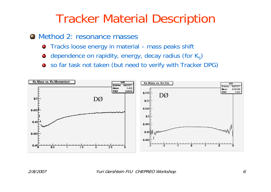## Tracker Material Description

#### ● Method 2: resonance masses

- **•** Tracks loose energy in material mass peaks shift
- dependence on rapidity, energy, decay radius (for  $K_{S}$ )
- so far task not taken (but need to verify with Tracker DPG)

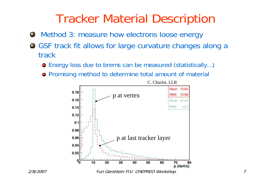## Tracker Material Description

- Method 3: measure how electrons loose energy
- GSF track fit allows for large curvature changes along a track
	- Energy loss due to brems can be measured (statistically…)
	- **•** Promising method to determine total amount of material

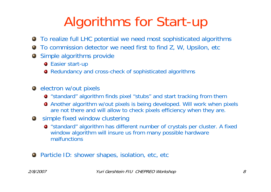# Algorithms for Start-up

- To realize full LHC potential we need most sophisticated algorithms
- **•** To commission detector we need first to find Z, W, Upsilon, etc
- **O** Simple algorithms provide
	- **•** Easier start-up
	- **Redundancy and cross-check of sophisticated algorithms**
- **e** electron w/out pixels
	- "standard" algorithm finds pixel "stubs" and start tracking from them
	- Another algorithm w/out pixels is being developed. Will work when pixels are not there and will allow to check pixels efficiency when they are.
- **O** simple fixed window clustering
	- "standard" algorithm has different number of crystals per cluster. A fixed window algorithm will insure us from many possible hardware malfunctions
- **O** Particle ID: shower shapes, isolation, etc, etc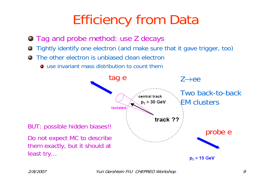# Efficiency from Data

- **Tag and probe method: use Z decays**
- Tightly identify one electron (and make sure that it gave trigger, too)  $\blacksquare$
- The other electron is unbiased clean electronO)
	- $\bullet$  use invariant mass distribution to count them

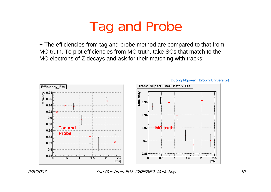## Tag and Probe

+ The efficiencies from tag and probe method are compared to that from MC truth. To plot efficiencies from MC truth, take SCs that match to the MC electrons of Z decays and ask for their matching with tracks.



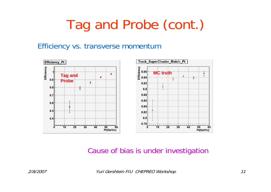# Tag and Probe (cont.)

#### Efficiency vs. transverse momentum



#### Cause of bias is under investigation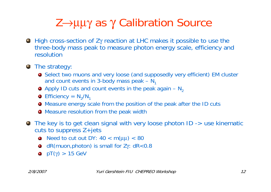## Z→μμγ as γ Calibration Source

- High cross-section of Z γ reaction at LHC makes it possible to use the three-body mass peak to measure photon energy scale, efficiency and resolution
- **•** The strategy:
	- Select two muons and very loose (and supposedly very efficient) EM cluster and count events in 3-body mass peak –  $N_1$
	- Apply ID cuts and count events in the peak again  $N_2$
	- **•** Efficiency =  $N_2/N_1$
	- Measure energy scale from the position of the peak after the ID cuts
	- **Measure resolution from the peak width**
- The key is to get clean signal with very loose photon ID -> use kinematic cuts to suppress Z+jets
	- Need to cut out DY:  $40 < m(\mu\mu) < 80$
	- dR(muon,photon) is small for Z γ: dR<0.8
	- $pT(\gamma) > 15$  GeV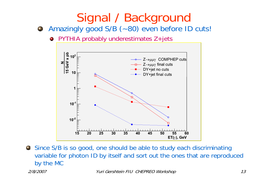# Signal / Background

**Amazingly good S/B (~80) even before ID cuts!** 

● PYTHIA probably underestimates Z+jets



Since S/B is so good, one should be able to study each discriminating variable for photon ID by itself and sort out the ones that are reproduced by the MC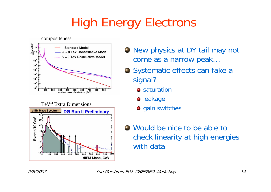## High Energy Electrons





- **New physics at DY tail may not** come as a narrow peak…
- **•** Systematic effects can fake a signal?
	- **a** saturation
	- **o** leakage
	- **o** gain switches
- Would be nice to be able to check linearity at high energies with data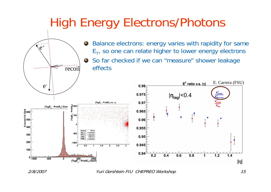## High Energy Electrons/Photons